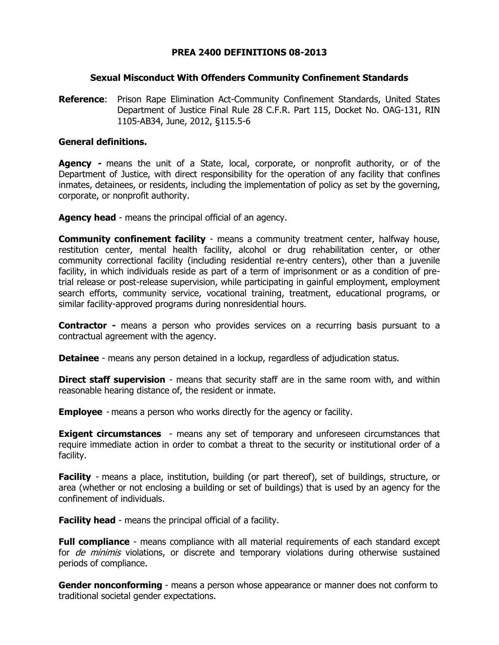## **PREA 2400 DEFINITIONS 08-2013**

#### **Sexual Misconduct With Offenders Community Confinement Standards**

**Reference**: Prison Rape Elimination Act-Community Confinement Standards, United States Department of Justice Final Rule 28 C.F.R. Part 115, Docket No. OAG-131, RIN 1105-AB34, June, 2012, §115.5-6

## **General definitions.**

**Agency -** means the unit of a State, local, corporate, or nonprofit authority, or of the Department of Justice, with direct responsibility for the operation of any facility that confines inmates, detainees, or residents, including the implementation of policy as set by the governing, corporate, or nonprofit authority.

**Agency head** - means the principal official of an agency.

**Community confinement facility** - means a community treatment center, halfway house, restitution center, mental health facility, alcohol or drug rehabilitation center, or other community correctional facility (including residential re-entry centers), other than a juvenile facility, in which individuals reside as part of a term of imprisonment or as a condition of pretrial release or post-release supervision, while participating in gainful employment, employment search efforts, community service, vocational training, treatment, educational programs, or similar facility-approved programs during nonresidential hours.

**Contractor -** means a person who provides services on a recurring basis pursuant to a contractual agreement with the agency.

**Detainee** - means any person detained in a lockup, regardless of adjudication status.

**Direct staff supervision** - means that security staff are in the same room with, and within reasonable hearing distance of, the resident or inmate.

**Employee** - means a person who works directly for the agency or facility.

**Exigent circumstances** - means any set of temporary and unforeseen circumstances that require immediate action in order to combat a threat to the security or institutional order of a facility.

**Facility** - means a place, institution, building (or part thereof), set of buildings, structure, or area (whether or not enclosing a building or set of buildings) that is used by an agency for the confinement of individuals.

**Facility head** - means the principal official of a facility.

**Full compliance** - means compliance with all material requirements of each standard except for *de minimis* violations, or discrete and temporary violations during otherwise sustained periods of compliance.

**Gender nonconforming** - means a person whose appearance or manner does not conform to traditional societal gender expectations.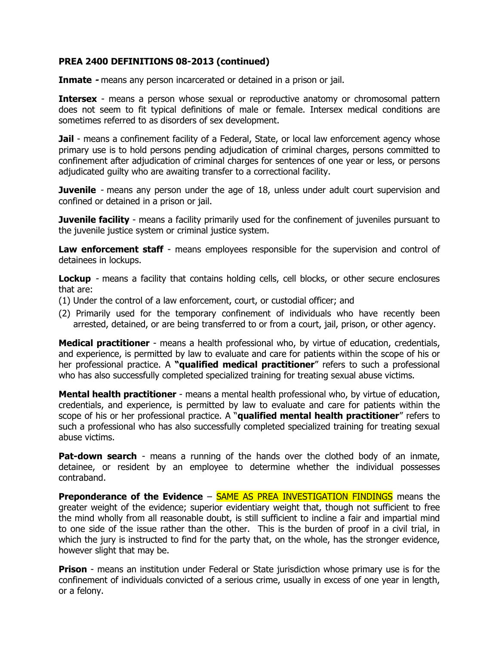**Inmate -** means any person incarcerated or detained in a prison or jail.

**Intersex** - means a person whose sexual or reproductive anatomy or chromosomal pattern does not seem to fit typical definitions of male or female. Intersex medical conditions are sometimes referred to as disorders of sex development.

**Jail** - means a confinement facility of a Federal, State, or local law enforcement agency whose primary use is to hold persons pending adjudication of criminal charges, persons committed to confinement after adjudication of criminal charges for sentences of one year or less, or persons adjudicated guilty who are awaiting transfer to a correctional facility.

**Juvenile** - means any person under the age of 18, unless under adult court supervision and confined or detained in a prison or jail.

**Juvenile facility** - means a facility primarily used for the confinement of juveniles pursuant to the juvenile justice system or criminal justice system.

**Law enforcement staff** - means employees responsible for the supervision and control of detainees in lockups.

**Lockup** - means a facility that contains holding cells, cell blocks, or other secure enclosures that are:

- (1) Under the control of a law enforcement, court, or custodial officer; and
- (2) Primarily used for the temporary confinement of individuals who have recently been arrested, detained, or are being transferred to or from a court, jail, prison, or other agency.

**Medical practitioner** - means a health professional who, by virtue of education, credentials, and experience, is permitted by law to evaluate and care for patients within the scope of his or her professional practice. A **"qualified medical practitioner**" refers to such a professional who has also successfully completed specialized training for treating sexual abuse victims.

**Mental health practitioner** - means a mental health professional who, by virtue of education, credentials, and experience, is permitted by law to evaluate and care for patients within the scope of his or her professional practice. A "**qualified mental health practitioner**" refers to such a professional who has also successfully completed specialized training for treating sexual abuse victims.

**Pat-down search** - means a running of the hands over the clothed body of an inmate, detainee, or resident by an employee to determine whether the individual possesses contraband.

**Preponderance of the Evidence** – **SAME AS PREA INVESTIGATION FINDINGS** means the greater weight of the evidence; superior evidentiary weight that, though not sufficient to free the mind wholly from all reasonable doubt, is still sufficient to incline a fair and impartial mind to one side of the issue rather than the other. This is the burden of proof in a civil trial, in which the jury is instructed to find for the party that, on the whole, has the stronger evidence, however slight that may be.

**Prison** - means an institution under Federal or State jurisdiction whose primary use is for the confinement of individuals convicted of a serious crime, usually in excess of one year in length, or a felony.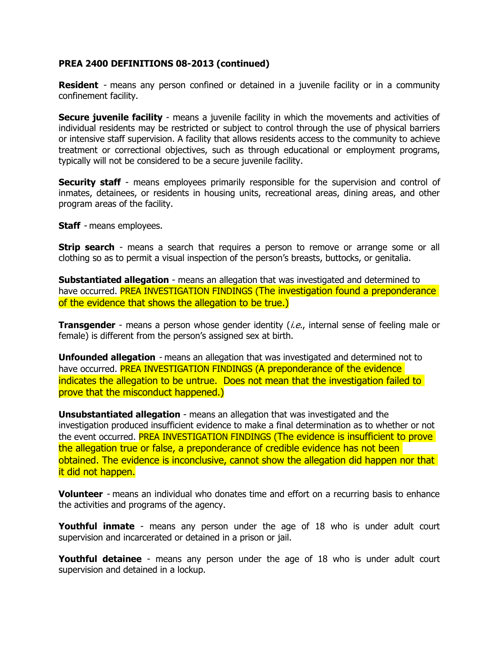**Resident** - means any person confined or detained in a juvenile facility or in a community confinement facility.

**Secure juvenile facility** - means a juvenile facility in which the movements and activities of individual residents may be restricted or subject to control through the use of physical barriers or intensive staff supervision. A facility that allows residents access to the community to achieve treatment or correctional objectives, such as through educational or employment programs, typically will not be considered to be a secure juvenile facility.

**Security staff** - means employees primarily responsible for the supervision and control of inmates, detainees, or residents in housing units, recreational areas, dining areas, and other program areas of the facility.

**Staff** - means employees.

**Strip search** - means a search that requires a person to remove or arrange some or all clothing so as to permit a visual inspection of the person's breasts, buttocks, or genitalia.

**Substantiated allegation** - means an allegation that was investigated and determined to have occurred. **PREA INVESTIGATION FINDINGS (The investigation found a preponderance** of the evidence that shows the allegation to be true.)

**Transgender** - means a person whose gender identity *(i.e.,* internal sense of feeling male or female) is different from the person's assigned sex at birth.

**Unfounded allegation** - means an allegation that was investigated and determined not to have occurred. **PREA INVESTIGATION FINDINGS (A preponderance of the evidence** indicates the allegation to be untrue. Does not mean that the investigation failed to prove that the misconduct happened.)

**Unsubstantiated allegation** - means an allegation that was investigated and the investigation produced insufficient evidence to make a final determination as to whether or not the event occurred. PREA INVESTIGATION FINDINGS (The evidence is insufficient to prove the allegation true or false, a preponderance of credible evidence has not been obtained. The evidence is inconclusive, cannot show the allegation did happen nor that it did not happen.

**Volunteer** - means an individual who donates time and effort on a recurring basis to enhance the activities and programs of the agency.

**Youthful inmate** - means any person under the age of 18 who is under adult court supervision and incarcerated or detained in a prison or jail.

**Youthful detainee** - means any person under the age of 18 who is under adult court supervision and detained in a lockup.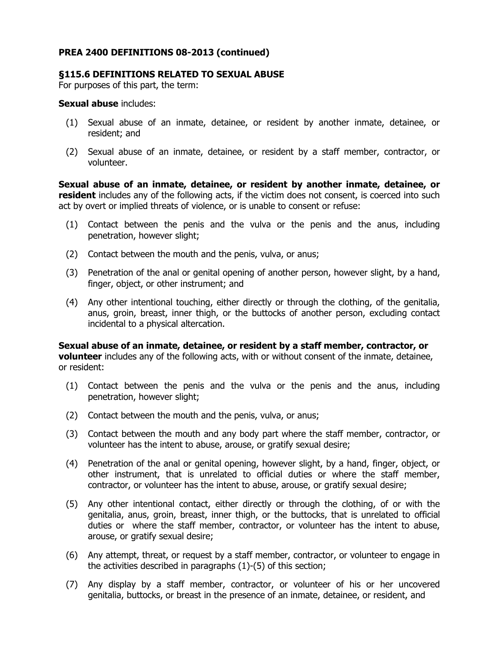## **§115.6 DEFINITIONS RELATED TO SEXUAL ABUSE**

For purposes of this part, the term:

#### **Sexual abuse** includes:

- (1) Sexual abuse of an inmate, detainee, or resident by another inmate, detainee, or resident; and
- (2) Sexual abuse of an inmate, detainee, or resident by a staff member, contractor, or volunteer.

**Sexual abuse of an inmate, detainee, or resident by another inmate, detainee, or resident** includes any of the following acts, if the victim does not consent, is coerced into such act by overt or implied threats of violence, or is unable to consent or refuse:

- (1) Contact between the penis and the vulva or the penis and the anus, including penetration, however slight;
- (2) Contact between the mouth and the penis, vulva, or anus;
- (3) Penetration of the anal or genital opening of another person, however slight, by a hand, finger, object, or other instrument; and
- (4) Any other intentional touching, either directly or through the clothing, of the genitalia, anus, groin, breast, inner thigh, or the buttocks of another person, excluding contact incidental to a physical altercation.

**Sexual abuse of an inmate, detainee, or resident by a staff member, contractor, or volunteer** includes any of the following acts, with or without consent of the inmate, detainee, or resident:

- (1) Contact between the penis and the vulva or the penis and the anus, including penetration, however slight;
- (2) Contact between the mouth and the penis, vulva, or anus;
- (3) Contact between the mouth and any body part where the staff member, contractor, or volunteer has the intent to abuse, arouse, or gratify sexual desire;
- (4) Penetration of the anal or genital opening, however slight, by a hand, finger, object, or other instrument, that is unrelated to official duties or where the staff member, contractor, or volunteer has the intent to abuse, arouse, or gratify sexual desire;
- (5) Any other intentional contact, either directly or through the clothing, of or with the genitalia, anus, groin, breast, inner thigh, or the buttocks, that is unrelated to official duties or where the staff member, contractor, or volunteer has the intent to abuse, arouse, or gratify sexual desire;
- (6) Any attempt, threat, or request by a staff member, contractor, or volunteer to engage in the activities described in paragraphs (1)-(5) of this section;
- (7) Any display by a staff member, contractor, or volunteer of his or her uncovered genitalia, buttocks, or breast in the presence of an inmate, detainee, or resident, and